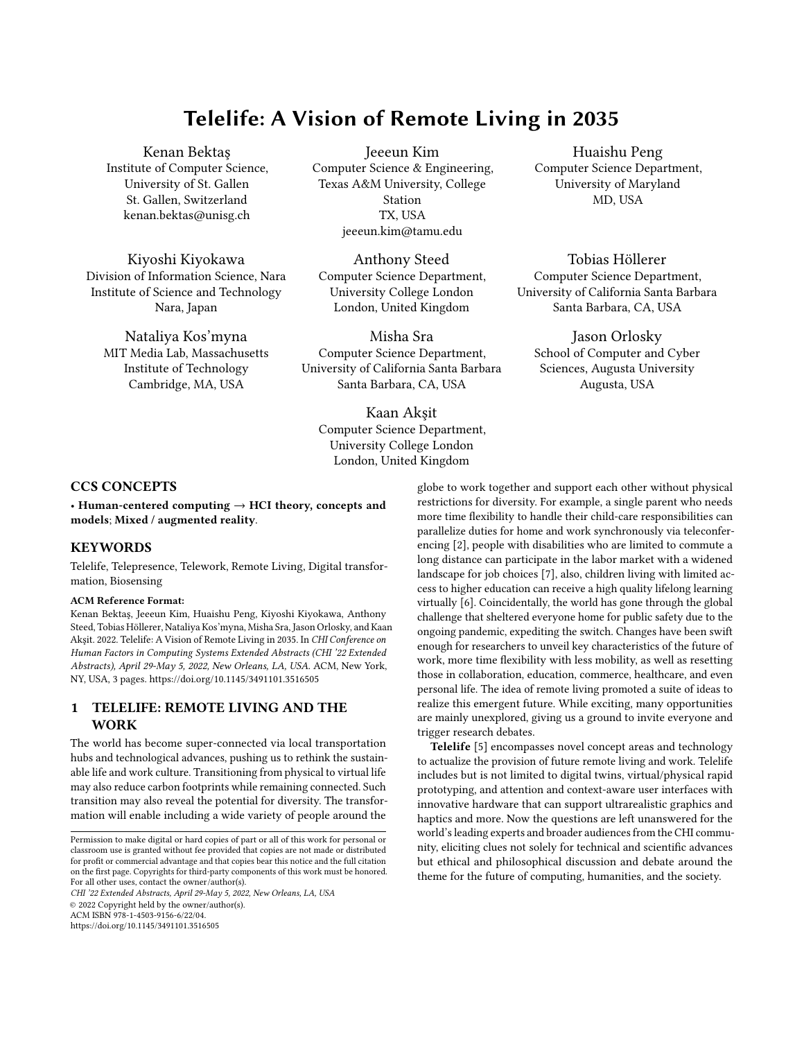# Telelife: A Vision of Remote Living in 2035

[Kenan Bektaş](https://orcid.org/0000-0003-2937-0542) Institute of Computer Science, University of St. Gallen St. Gallen, Switzerland kenan.bektas@unisg.ch

[Kiyoshi Kiyokawa](https://orcid.org/0000-0003-2260-1707) Division of Information Science, Nara Institute of Science and Technology Nara, Japan

[Nataliya Kos'myna](https://orcid.org/0000-0003-1272-0470) MIT Media Lab, Massachusetts Institute of Technology Cambridge, MA, USA

[Jeeeun Kim](https://orcid.org/0000-0002-8915-481X) Computer Science & Engineering, Texas A&M University, College Station TX, USA jeeeun.kim@tamu.edu

[Anthony Steed](https://orcid.org/0000-0001-9034-3020) Computer Science Department, University College London London, United Kingdom

[Misha Sra](https://orcid.org/0000-0001-8154-8518) Computer Science Department, University of California Santa Barbara Santa Barbara, CA, USA

[Kaan Akşit](https://orcid.org/0000-0002-5934-5500) Computer Science Department, University College London London, United Kingdom

[Huaishu Peng](https://orcid.org/0000-0002-2749-4835) Computer Science Department, University of Maryland MD, USA

[Tobias Höllerer](https://orcid.org/0000-0002-6240-0291) Computer Science Department, University of California Santa Barbara Santa Barbara, CA, USA

[Jason Orlosky](https://orcid.org/0000-0002-0538-6630) School of Computer and Cyber Sciences, Augusta University Augusta, USA

# CCS CONCEPTS

• Human-centered computing  $\rightarrow$  HCI theory, concepts and models; Mixed / augmented reality.

# **KEYWORDS**

Telelife, Telepresence, Telework, Remote Living, Digital transformation, Biosensing

#### ACM Reference Format:

Kenan Bektaş, Jeeeun Kim, Huaishu Peng, Kiyoshi Kiyokawa, Anthony Steed, Tobias Höllerer, Nataliya Kos'myna, Misha Sra, Jason Orlosky, and Kaan Akşit. 2022. Telelife: A Vision of Remote Living in 2035. In CHI Conference on Human Factors in Computing Systems Extended Abstracts (CHI '22 Extended Abstracts), April 29-May 5, 2022, New Orleans, LA, USA. ACM, New York, NY, USA, [3](#page-2-0) pages.<https://doi.org/10.1145/3491101.3516505>

# 1 TELELIFE: REMOTE LIVING AND THE WORK

The world has become super-connected via local transportation hubs and technological advances, pushing us to rethink the sustainable life and work culture. Transitioning from physical to virtual life may also reduce carbon footprints while remaining connected. Such transition may also reveal the potential for diversity. The transformation will enable including a wide variety of people around the

CHI '22 Extended Abstracts, April 29-May 5, 2022, New Orleans, LA, USA

© 2022 Copyright held by the owner/author(s).

ACM ISBN 978-1-4503-9156-6/22/04.

<https://doi.org/10.1145/3491101.3516505>

globe to work together and support each other without physical restrictions for diversity. For example, a single parent who needs more time flexibility to handle their child-care responsibilities can parallelize duties for home and work synchronously via teleconferencing [\[2\]](#page-2-1), people with disabilities who are limited to commute a long distance can participate in the labor market with a widened landscape for job choices [\[7\]](#page-2-2), also, children living with limited access to higher education can receive a high quality lifelong learning virtually [\[6\]](#page-2-3). Coincidentally, the world has gone through the global challenge that sheltered everyone home for public safety due to the ongoing pandemic, expediting the switch. Changes have been swift enough for researchers to unveil key characteristics of the future of work, more time flexibility with less mobility, as well as resetting those in collaboration, education, commerce, healthcare, and even personal life. The idea of remote living promoted a suite of ideas to realize this emergent future. While exciting, many opportunities are mainly unexplored, giving us a ground to invite everyone and trigger research debates.

Telelife [\[5\]](#page-2-4) encompasses novel concept areas and technology to actualize the provision of future remote living and work. Telelife includes but is not limited to digital twins, virtual/physical rapid prototyping, and attention and context-aware user interfaces with innovative hardware that can support ultrarealistic graphics and haptics and more. Now the questions are left unanswered for the world's leading experts and broader audiences from the CHI community, eliciting clues not solely for technical and scientific advances but ethical and philosophical discussion and debate around the theme for the future of computing, humanities, and the society.

Permission to make digital or hard copies of part or all of this work for personal or classroom use is granted without fee provided that copies are not made or distributed for profit or commercial advantage and that copies bear this notice and the full citation on the first page. Copyrights for third-party components of this work must be honored. For all other uses, contact the owner/author(s).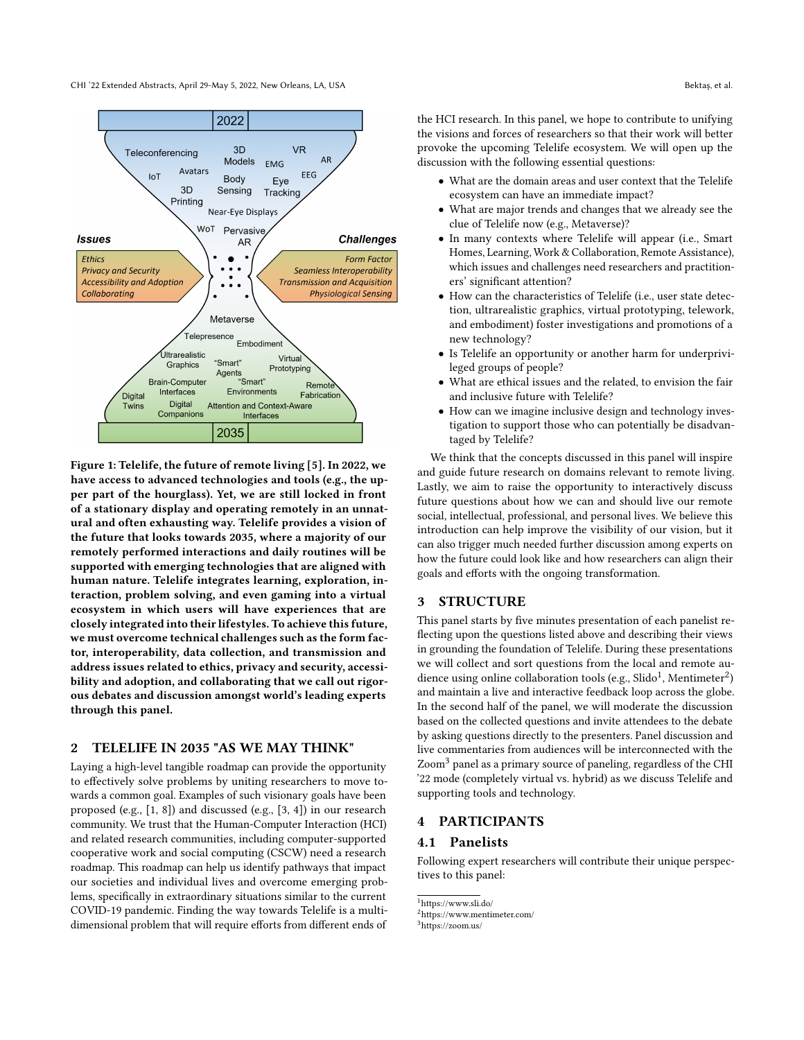CHI '22 Extended Abstracts, April 29-May 5, 2022, New Orleans, LA, USA Bektaş, et al.



Figure 1: Telelife, the future of remote living [\[5\]](#page-2-4). In 2022, we have access to advanced technologies and tools (e.g., the upper part of the hourglass). Yet, we are still locked in front of a stationary display and operating remotely in an unnatural and often exhausting way. Telelife provides a vision of the future that looks towards 2035, where a majority of our remotely performed interactions and daily routines will be supported with emerging technologies that are aligned with human nature. Telelife integrates learning, exploration, interaction, problem solving, and even gaming into a virtual ecosystem in which users will have experiences that are closely integrated into their lifestyles. To achieve this future, we must overcome technical challenges such as the form factor, interoperability, data collection, and transmission and address issues related to ethics, privacy and security, accessibility and adoption, and collaborating that we call out rigorous debates and discussion amongst world's leading experts through this panel.

#### 2 TELELIFE IN 2035 "AS WE MAY THINK"

Laying a high-level tangible roadmap can provide the opportunity to effectively solve problems by uniting researchers to move towards a common goal. Examples of such visionary goals have been proposed (e.g., [\[1,](#page-2-5) [8\]](#page-2-6)) and discussed (e.g., [\[3,](#page-2-7) [4\]](#page-2-8)) in our research community. We trust that the Human-Computer Interaction (HCI) and related research communities, including computer-supported cooperative work and social computing (CSCW) need a research roadmap. This roadmap can help us identify pathways that impact our societies and individual lives and overcome emerging problems, specifically in extraordinary situations similar to the current COVID-19 pandemic. Finding the way towards Telelife is a multidimensional problem that will require efforts from different ends of

the HCI research. In this panel, we hope to contribute to unifying the visions and forces of researchers so that their work will better provoke the upcoming Telelife ecosystem. We will open up the discussion with the following essential questions:

- What are the domain areas and user context that the Telelife ecosystem can have an immediate impact?
- What are major trends and changes that we already see the clue of Telelife now (e.g., Metaverse)?
- In many contexts where Telelife will appear (i.e., Smart Homes, Learning, Work & Collaboration, Remote Assistance), which issues and challenges need researchers and practitioners' significant attention?
- How can the characteristics of Telelife (i.e., user state detection, ultrarealistic graphics, virtual prototyping, telework, and embodiment) foster investigations and promotions of a new technology?
- Is Telelife an opportunity or another harm for underprivileged groups of people?
- What are ethical issues and the related, to envision the fair and inclusive future with Telelife?
- How can we imagine inclusive design and technology investigation to support those who can potentially be disadvantaged by Telelife?

We think that the concepts discussed in this panel will inspire and guide future research on domains relevant to remote living. Lastly, we aim to raise the opportunity to interactively discuss future questions about how we can and should live our remote social, intellectual, professional, and personal lives. We believe this introduction can help improve the visibility of our vision, but it can also trigger much needed further discussion among experts on how the future could look like and how researchers can align their goals and efforts with the ongoing transformation.

# 3 STRUCTURE

This panel starts by five minutes presentation of each panelist reflecting upon the questions listed above and describing their views in grounding the foundation of Telelife. During these presentations we will collect and sort questions from the local and remote au-dience using online collaboration tools (e.g., Slido<sup>[1](#page-1-0)</sup>, Mentimeter<sup>[2](#page-1-1)</sup>) and maintain a live and interactive feedback loop across the globe. In the second half of the panel, we will moderate the discussion based on the collected questions and invite attendees to the debate by asking questions directly to the presenters. Panel discussion and live commentaries from audiences will be interconnected with the Zoom[3](#page-1-2) panel as a primary source of paneling, regardless of the CHI '22 mode (completely virtual vs. hybrid) as we discuss Telelife and supporting tools and technology.

#### **PARTICIPANTS**

### 4.1 Panelists

Following expert researchers will contribute their unique perspectives to this panel:

<span id="page-1-0"></span><sup>1</sup>https://www.sli.do/

<span id="page-1-1"></span><sup>2</sup>https://www.mentimeter.com/

<span id="page-1-2"></span><sup>3</sup>https://zoom.us/